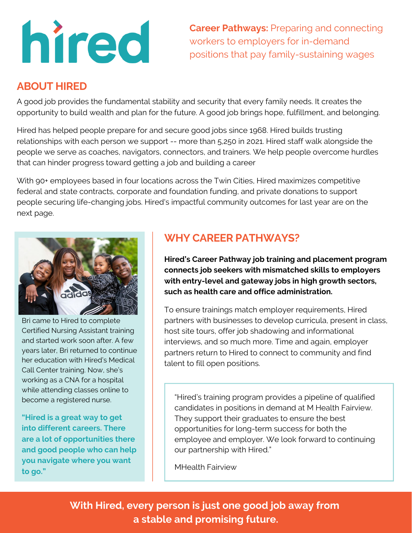

**Career Pathways:** Preparing and connecting workers to employers for in-demand positions that pay family-sustaining wages

#### **ABOUT HIRED**

A good job provides the fundamental stability and security that every family needs. It creates the opportunity to build wealth and plan for the future. A good job brings hope, fulfillment, and belonging.

Hired has helped people prepare for and secure good jobs since 1968. Hired builds trusting relationships with each person we support -- more than 5,250 in 2021. Hired staff walk alongside the people we serve as coaches, navigators, connectors, and trainers. We help people overcome hurdles that can hinder progress toward getting a job and building a career

With 90<sup>+</sup> employees based in four locations across the Twin Cities, Hired maximizes competitive federal and state contracts, corporate and foundation funding, and private donations to support people securing life-changing jobs. Hired's impactful community outcomes for last year are on the next page.



Bri came to Hired to complete Certified Nursing Assistant training and started work soon after. A few years later, Bri returned to continue her education with Hired's Medical Call Center training. Now, she's working as a CNA for a hospital while attending classes online to become a registered nurse.

**"Hired is a great way to get into different careers. There are a lot of opportunities there and good people who can help you navigate where you want to go."**

## **WHY CAREER PATHWAYS?**

**Hired's Career Pathway job training and placement program connects job seekers with mismatched skills to employers with entry-level and gateway jobs in high growth sectors, such as health care and office administration.**

To ensure trainings match employer requirements, Hired partners with businesses to develop curricula, present in class, host site tours, offer job shadowing and informational interviews, and so much more. Time and again, employer partners return to Hired to connect to community and find talent to fill open positions.

"Hired's training program provides a pipeline of qualified candidates in positions in demand at M Health Fairview. They support their graduates to ensure the best opportunities for long-term success for both the employee and employer. We look forward to continuing our partnership with Hired."

MHealth Fairview

**With Hired, every person is just one good job away from a stable and promising future.**